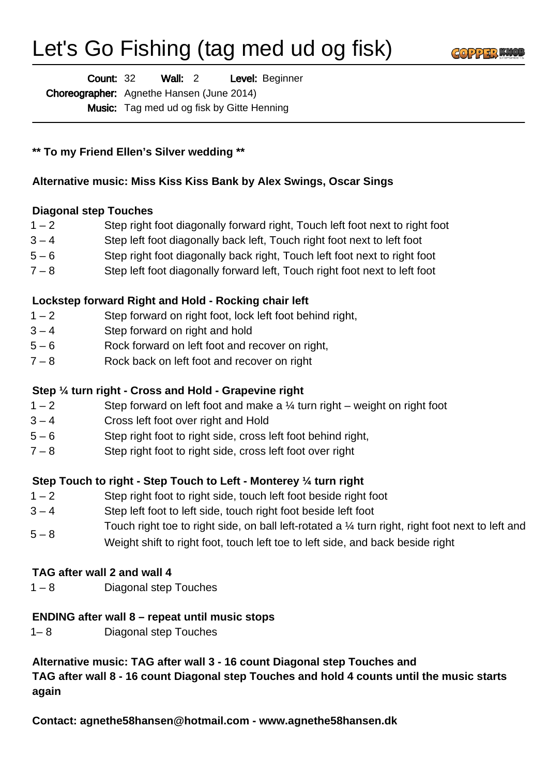# Let's Go Fishing (tag med ud og fisk)



Wall: 2 Level: Beginner Count: 32

Choreographer: Agnethe Hansen (June 2014)

Music: Tag med ud og fisk by Gitte Henning

**\*\* To my Friend Ellen's Silver wedding \*\***

# **Alternative music: Miss Kiss Kiss Bank by Alex Swings, Oscar Sings**

## **Diagonal step Touches**

- 1 2 Step right foot diagonally forward right, Touch left foot next to right foot
- 3 4 Step left foot diagonally back left, Touch right foot next to left foot
- 5 6 Step right foot diagonally back right, Touch left foot next to right foot
- 7 8 Step left foot diagonally forward left, Touch right foot next to left foot

# **Lockstep forward Right and Hold - Rocking chair left**

- 1 2 Step forward on right foot, lock left foot behind right,
- 3 4 Step forward on right and hold
- 5 6 Rock forward on left foot and recover on right,
- 7 8 Rock back on left foot and recover on right

# **Step ¼ turn right - Cross and Hold - Grapevine right**

- $1 2$  Step forward on left foot and make a  $\frac{1}{4}$  turn right weight on right foot
- 3 4 Cross left foot over right and Hold
- 5 6 Step right foot to right side, cross left foot behind right,
- 7 8 Step right foot to right side, cross left foot over right

## **Step Touch to right - Step Touch to Left - Monterey ¼ turn right**

- 1 2 Step right foot to right side, touch left foot beside right foot
- 3 4 Step left foot to left side, touch right foot beside left foot
- $5 8$ Touch right toe to right side, on ball left-rotated a ¼ turn right, right foot next to left and
- Weight shift to right foot, touch left toe to left side, and back beside right

## **TAG after wall 2 and wall 4**

1 – 8 Diagonal step Touches

## **ENDING after wall 8 – repeat until music stops**

1– 8 Diagonal step Touches

**Alternative music: TAG after wall 3 - 16 count Diagonal step Touches and TAG after wall 8 - 16 count Diagonal step Touches and hold 4 counts until the music starts again**

**Contact: agnethe58hansen@hotmail.com - www.agnethe58hansen.dk**